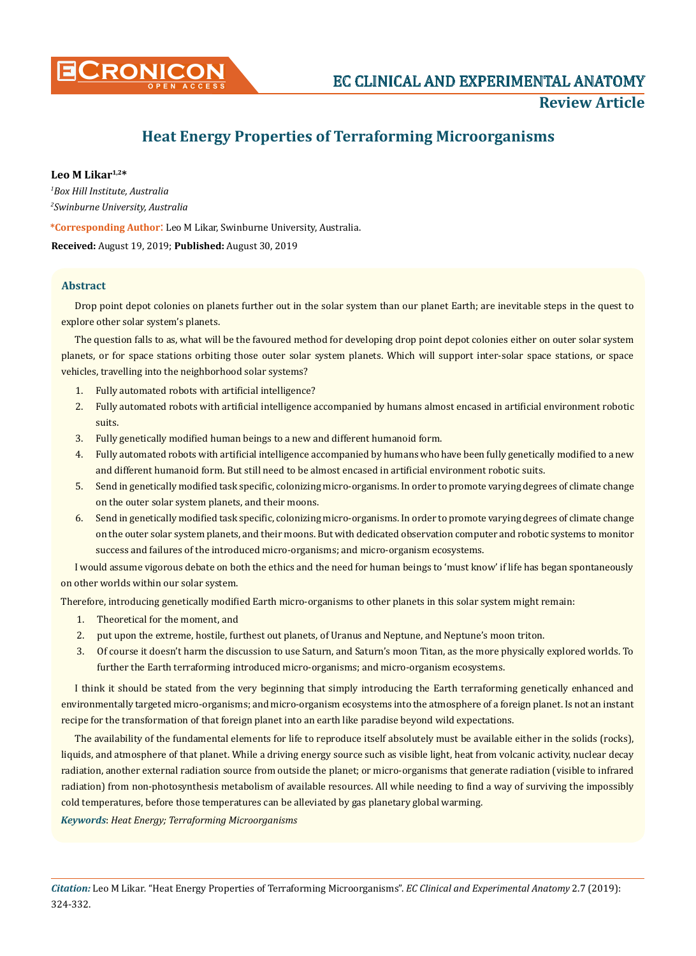

## **Review Article**

# **Heat Energy Properties of Terraforming Microorganisms**

**Leo M Likar1,2\***

*1 Box Hill Institute, Australia 2 Swinburne University, Australia*

**\*Corresponding Author**: Leo M Likar, Swinburne University, Australia.

**Received:** August 19, 2019; **Published:** August 30, 2019

## **Abstract**

Drop point depot colonies on planets further out in the solar system than our planet Earth; are inevitable steps in the quest to explore other solar system's planets.

The question falls to as, what will be the favoured method for developing drop point depot colonies either on outer solar system planets, or for space stations orbiting those outer solar system planets. Which will support inter-solar space stations, or space vehicles, travelling into the neighborhood solar systems?

- 1. Fully automated robots with artificial intelligence?
- 2. Fully automated robots with artificial intelligence accompanied by humans almost encased in artificial environment robotic suits.
- 3. Fully genetically modified human beings to a new and different humanoid form.
- 4. Fully automated robots with artificial intelligence accompanied by humans who have been fully genetically modified to a new and different humanoid form. But still need to be almost encased in artificial environment robotic suits.
- 5. Send in genetically modified task specific, colonizing micro-organisms. In order to promote varying degrees of climate change on the outer solar system planets, and their moons.
- 6. Send in genetically modified task specific, colonizing micro-organisms. In order to promote varying degrees of climate change on the outer solar system planets, and their moons. But with dedicated observation computer and robotic systems to monitor success and failures of the introduced micro-organisms; and micro-organism ecosystems.

I would assume vigorous debate on both the ethics and the need for human beings to 'must know' if life has began spontaneously on other worlds within our solar system.

Therefore, introducing genetically modified Earth micro-organisms to other planets in this solar system might remain:

- 1. Theoretical for the moment, and
- 2. put upon the extreme, hostile, furthest out planets, of Uranus and Neptune, and Neptune's moon triton.
- 3. Of course it doesn't harm the discussion to use Saturn, and Saturn's moon Titan, as the more physically explored worlds. To further the Earth terraforming introduced micro-organisms; and micro-organism ecosystems.

I think it should be stated from the very beginning that simply introducing the Earth terraforming genetically enhanced and environmentally targeted micro-organisms; and micro-organism ecosystems into the atmosphere of a foreign planet. Is not an instant recipe for the transformation of that foreign planet into an earth like paradise beyond wild expectations.

The availability of the fundamental elements for life to reproduce itself absolutely must be available either in the solids (rocks), liquids, and atmosphere of that planet. While a driving energy source such as visible light, heat from volcanic activity, nuclear decay radiation, another external radiation source from outside the planet; or micro-organisms that generate radiation (visible to infrared radiation) from non-photosynthesis metabolism of available resources. All while needing to find a way of surviving the impossibly cold temperatures, before those temperatures can be alleviated by gas planetary global warming.

*Keywords*: *Heat Energy; Terraforming Microorganisms*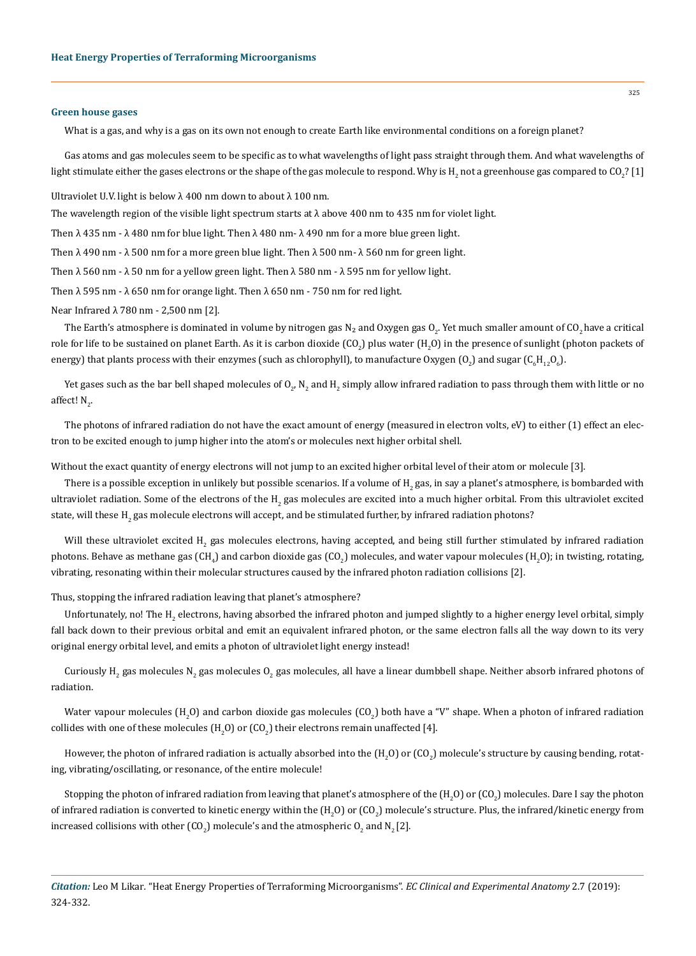#### **Green house gases**

What is a gas, and why is a gas on its own not enough to create Earth like environmental conditions on a foreign planet?

Gas atoms and gas molecules seem to be specific as to what wavelengths of light pass straight through them. And what wavelengths of light stimulate either the gases electrons or the shape of the gas molecule to respond. Why is H<sub>2</sub> not a greenhouse gas compared to CO<sub>2</sub>? [1]

Ultraviolet U.V. light is below  $\lambda$  400 nm down to about  $\lambda$  100 nm.

The wavelength region of the visible light spectrum starts at  $\lambda$  above 400 nm to 435 nm for violet light.

Then  $\lambda$  435 nm -  $\lambda$  480 nm for blue light. Then  $\lambda$  480 nm -  $\lambda$  490 nm for a more blue green light.

Then  $\lambda$  490 nm -  $\lambda$  500 nm for a more green blue light. Then  $\lambda$  500 nm -  $\lambda$  560 nm for green light.

Then  $\lambda$  560 nm -  $\lambda$  50 nm for a yellow green light. Then  $\lambda$  580 nm -  $\lambda$  595 nm for yellow light.

Then  $\lambda$  595 nm -  $\lambda$  650 nm for orange light. Then  $\lambda$  650 nm - 750 nm for red light.

Near Infrared λ 780 nm - 2,500 nm [2].

The Earth's atmosphere is dominated in volume by nitrogen gas N<sub>2</sub> and Oxygen gas O<sub>2</sub>. Yet much smaller amount of CO<sub>2</sub> have a critical role for life to be sustained on planet Earth. As it is carbon dioxide (CO<sub>2</sub>) plus water (H<sub>2</sub>O) in the presence of sunlight (photon packets of energy) that plants process with their enzymes (such as chlorophyll), to manufacture Oxygen (O<sub>2</sub>) and sugar (C<sub>6</sub>H<sub>12</sub>O<sub>6</sub>).

Yet gases such as the bar bell shaped molecules of  $0_{2'}$  N<sub>2</sub> and H<sub>2</sub> simply allow infrared radiation to pass through them with little or no affect!  $N_{2}$ .

The photons of infrared radiation do not have the exact amount of energy (measured in electron volts, eV) to either (1) effect an electron to be excited enough to jump higher into the atom's or molecules next higher orbital shell.

Without the exact quantity of energy electrons will not jump to an excited higher orbital level of their atom or molecule [3].

There is a possible exception in unlikely but possible scenarios. If a volume of  ${\rm H_2}$  gas, in say a planet's atmosphere, is bombarded with ultraviolet radiation. Some of the electrons of the H<sub>2</sub> gas molecules are excited into a much higher orbital. From this ultraviolet excited state, will these H<sub>2</sub> gas molecule electrons will accept, and be stimulated further, by infrared radiation photons?

Will these ultraviolet excited  $\text{H}_{\text{2}}$  gas molecules electrons, having accepted, and being still further stimulated by infrared radiation photons. Behave as methane gas (CH<sub>4</sub>) and carbon dioxide gas (CO<sub>2</sub>) molecules, and water vapour molecules (H<sub>2</sub>O); in twisting, rotating, vibrating, resonating within their molecular structures caused by the infrared photon radiation collisions [2].

Thus, stopping the infrared radiation leaving that planet's atmosphere?

Unfortunately, no! The H<sub>2</sub> electrons, having absorbed the infrared photon and jumped slightly to a higher energy level orbital, simply fall back down to their previous orbital and emit an equivalent infrared photon, or the same electron falls all the way down to its very original energy orbital level, and emits a photon of ultraviolet light energy instead!

Curiously H<sub>2</sub> gas molecules N<sub>2</sub> gas molecules O<sub>2</sub> gas molecules, all have a linear dumbbell shape. Neither absorb infrared photons of radiation.

Water vapour molecules (H<sub>2</sub>O) and carbon dioxide gas molecules (CO<sub>2</sub>) both have a "V" shape. When a photon of infrared radiation collides with one of these molecules (H<sub>2</sub>O) or (CO<sub>2</sub>) their electrons remain unaffected [4].

However, the photon of infrared radiation is actually absorbed into the (H<sub>2</sub>O) or (CO<sub>2</sub>) molecule's structure by causing bending, rotating, vibrating/oscillating, or resonance, of the entire molecule!

Stopping the photon of infrared radiation from leaving that planet's atmosphere of the  $({\rm H_2O})$  or  $({\rm CO_2})$  molecules. Dare I say the photon of infrared radiation is converted to kinetic energy within the  $({\rm H_2O})$  or (CO<sub>2</sub>) molecule's structure. Plus, the infrared/kinetic energy from increased collisions with other (CO<sub>2</sub>) molecule's and the atmospheric O<sub>2</sub> and N<sub>2</sub> [2].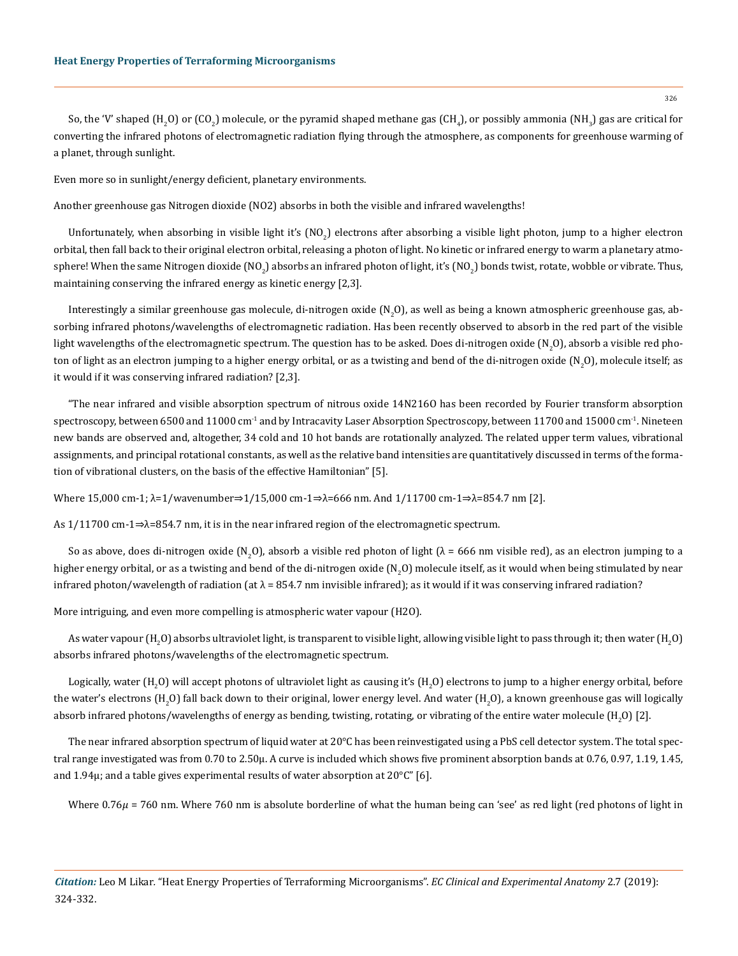So, the 'V' shaped (H<sub>2</sub>O) or (CO<sub>2</sub>) molecule, or the pyramid shaped methane gas (CH<sub>4</sub>), or possibly ammonia (NH<sub>3</sub>) gas are critical for converting the infrared photons of electromagnetic radiation flying through the atmosphere, as components for greenhouse warming of a planet, through sunlight.

Even more so in sunlight/energy deficient, planetary environments.

Another greenhouse gas Nitrogen dioxide (NO2) absorbs in both the visible and infrared wavelengths!

Unfortunately, when absorbing in visible light it's (NO<sub>2</sub>) electrons after absorbing a visible light photon, jump to a higher electron orbital, then fall back to their original electron orbital, releasing a photon of light. No kinetic or infrared energy to warm a planetary atmosphere! When the same Nitrogen dioxide (NO<sub>2</sub>) absorbs an infrared photon of light, it's (NO<sub>2</sub>) bonds twist, rotate, wobble or vibrate. Thus, maintaining conserving the infrared energy as kinetic energy [2,3].

Interestingly a similar greenhouse gas molecule, di-nitrogen oxide (N<sub>2</sub>O), as well as being a known atmospheric greenhouse gas, absorbing infrared photons/wavelengths of electromagnetic radiation. Has been recently observed to absorb in the red part of the visible light wavelengths of the electromagnetic spectrum. The question has to be asked. Does di-nitrogen oxide (N<sub>2</sub>O), absorb a visible red photon of light as an electron jumping to a higher energy orbital, or as a twisting and bend of the di-nitrogen oxide (N<sub>2</sub>O), molecule itself; as it would if it was conserving infrared radiation? [2,3].

"The near infrared and visible absorption spectrum of nitrous oxide 14N216O has been recorded by Fourier transform absorption spectroscopy, between 6500 and 11000 cm<sup>-1</sup> and by Intracavity Laser Absorption Spectroscopy, between 11700 and 15000 cm<sup>-1</sup>. Nineteen new bands are observed and, altogether, 34 cold and 10 hot bands are rotationally analyzed. The related upper term values, vibrational assignments, and principal rotational constants, as well as the relative band intensities are quantitatively discussed in terms of the formation of vibrational clusters, on the basis of the effective Hamiltonian" [5].

Where 15,000 cm-1; λ=1/wavenumber⇒1/15,000 cm-1⇒λ=666 nm. And 1/11700 cm-1⇒λ=854.7 nm [2].

As 1/11700 cm-1⇒λ=854.7 nm, it is in the near infrared region of the electromagnetic spectrum.

So as above, does di-nitrogen oxide (N<sub>2</sub>O), absorb a visible red photon of light ( $\lambda$  = 666 nm visible red), as an electron jumping to a higher energy orbital, or as a twisting and bend of the di-nitrogen oxide (N<sub>2</sub>O) molecule itself, as it would when being stimulated by near infrared photon/wavelength of radiation (at  $\lambda$  = 854.7 nm invisible infrared); as it would if it was conserving infrared radiation?

More intriguing, and even more compelling is atmospheric water vapour (H2O).

As water vapour (H<sub>2</sub>O) absorbs ultraviolet light, is transparent to visible light, allowing visible light to pass through it; then water (H<sub>2</sub>O) absorbs infrared photons/wavelengths of the electromagnetic spectrum.

Logically, water (H<sub>2</sub>O) will accept photons of ultraviolet light as causing it's (H<sub>2</sub>O) electrons to jump to a higher energy orbital, before the water's electrons (H<sub>2</sub>O) fall back down to their original, lower energy level. And water (H<sub>2</sub>O), a known greenhouse gas will logically absorb infrared photons/wavelengths of energy as bending, twisting, rotating, or vibrating of the entire water molecule  $\rm(H_2O)$  [2].

The near infrared absorption spectrum of liquid water at 20°C has been reinvestigated using a PbS cell detector system. The total spectral range investigated was from 0.70 to 2.50μ. A curve is included which shows five prominent absorption bands at 0.76, 0.97, 1.19, 1.45, and 1.94μ; and a table gives experimental results of water absorption at 20°C" [6].

Where  $0.76\mu$  = 760 nm. Where 760 nm is absolute borderline of what the human being can 'see' as red light (red photons of light in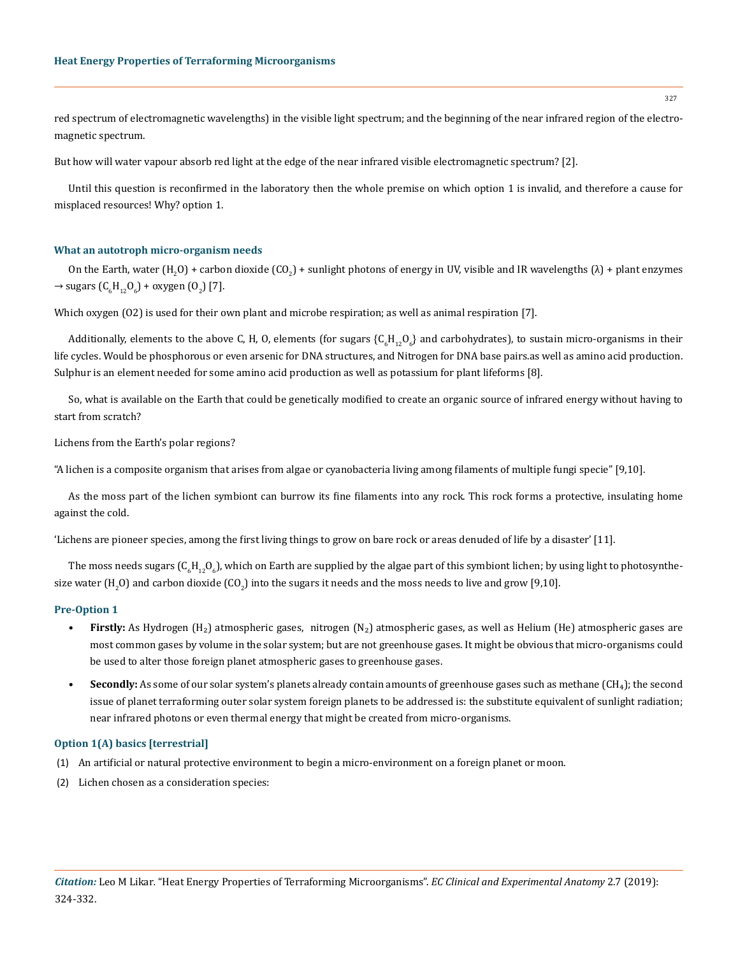red spectrum of electromagnetic wavelengths) in the visible light spectrum; and the beginning of the near infrared region of the electromagnetic spectrum.

But how will water vapour absorb red light at the edge of the near infrared visible electromagnetic spectrum? [2].

Until this question is reconfirmed in the laboratory then the whole premise on which option 1 is invalid, and therefore a cause for misplaced resources! Why? option 1.

#### **What an autotroph micro-organism needs**

On the Earth, water (H<sub>2</sub>O) + carbon dioxide (CO<sub>2</sub>) + sunlight photons of energy in UV, visible and IR wavelengths ( $\lambda$ ) + plant enzymes  $\rightarrow$  sugars (C<sub>6</sub>H<sub>12</sub>O<sub>6</sub>) + oxygen (O<sub>2</sub>) [7].

Which oxygen (O2) is used for their own plant and microbe respiration; as well as animal respiration [7].

Additionally, elements to the above C, H, O, elements (for sugars {C<sub>6</sub>H<sub>12</sub>O<sub>6</sub>} and carbohydrates), to sustain micro-organisms in their life cycles. Would be phosphorous or even arsenic for DNA structures, and Nitrogen for DNA base pairs.as well as amino acid production. Sulphur is an element needed for some amino acid production as well as potassium for plant lifeforms [8].

So, what is available on the Earth that could be genetically modified to create an organic source of infrared energy without having to start from scratch?

Lichens from the Earth's polar regions?

"A lichen is a composite organism that arises from algae or cyanobacteria living among filaments of multiple fungi specie" [9,10].

As the moss part of the lichen symbiont can burrow its fine filaments into any rock. This rock forms a protective, insulating home against the cold.

'Lichens are pioneer species, among the first living things to grow on bare rock or areas denuded of life by a disaster' [11].

The moss needs sugars (C $_{6}$ H $_{12}$ O $_{6}$ ), which on Earth are supplied by the algae part of this symbiont lichen; by using light to photosynthesize water (H<sub>2</sub>O) and carbon dioxide (CO<sub>2</sub>) into the sugars it needs and the moss needs to live and grow [9,10].

#### **Pre-Option 1**

- **• Firstly:** As Hydrogen (H₂) atmospheric gases, nitrogen (N₂) atmospheric gases, as well as Helium (He) atmospheric gases are most common gases by volume in the solar system; but are not greenhouse gases. It might be obvious that micro-organisms could be used to alter those foreign planet atmospheric gases to greenhouse gases.
- **• Secondly:** As some of our solar system's planets already contain amounts of greenhouse gases such as methane (CH₄); the second issue of planet terraforming outer solar system foreign planets to be addressed is: the substitute equivalent of sunlight radiation; near infrared photons or even thermal energy that might be created from micro-organisms.

#### **Option 1(A) basics [terrestrial]**

- (1) An artificial or natural protective environment to begin a micro-environment on a foreign planet or moon.
- (2) Lichen chosen as a consideration species: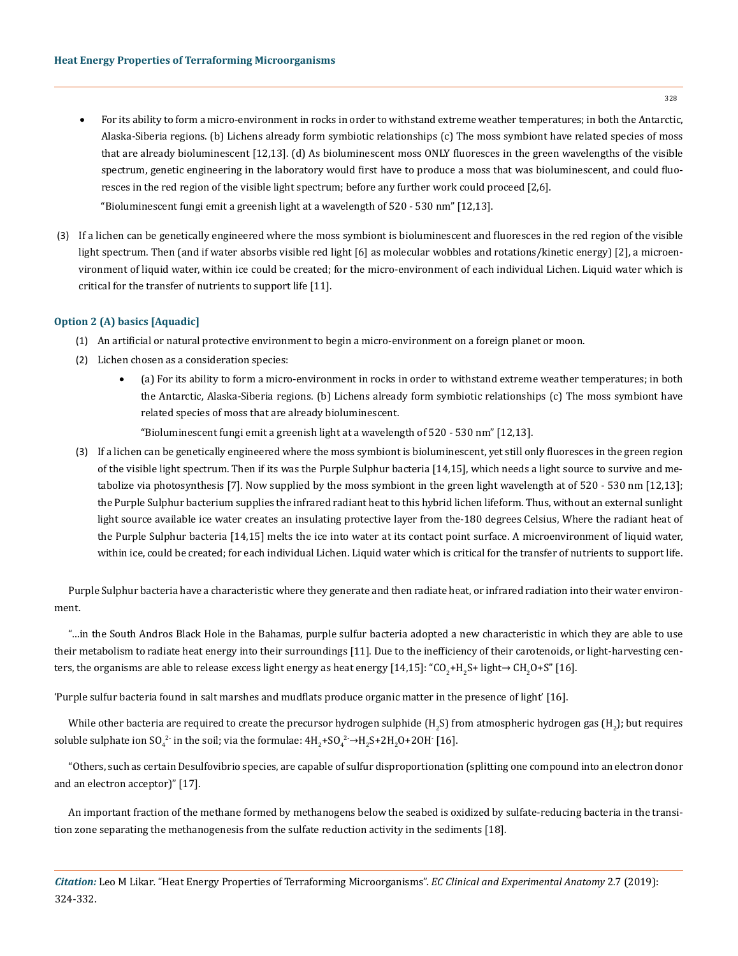- For its ability to form a micro-environment in rocks in order to withstand extreme weather temperatures; in both the Antarctic, Alaska-Siberia regions. (b) Lichens already form symbiotic relationships (c) The moss symbiont have related species of moss that are already bioluminescent [12,13]. (d) As bioluminescent moss ONLY fluoresces in the green wavelengths of the visible spectrum, genetic engineering in the laboratory would first have to produce a moss that was bioluminescent, and could fluoresces in the red region of the visible light spectrum; before any further work could proceed [2,6]. "Bioluminescent fungi emit a greenish light at a wavelength of 520 - 530 nm" [12,13].
- (3) If a lichen can be genetically engineered where the moss symbiont is bioluminescent and fluoresces in the red region of the visible light spectrum. Then (and if water absorbs visible red light [6] as molecular wobbles and rotations/kinetic energy) [2], a microenvironment of liquid water, within ice could be created; for the micro-environment of each individual Lichen. Liquid water which is critical for the transfer of nutrients to support life [11].

## **Option 2 (A) basics [Aquadic]**

- (1) An artificial or natural protective environment to begin a micro-environment on a foreign planet or moon.
- (2) Lichen chosen as a consideration species:
	- (a) For its ability to form a micro-environment in rocks in order to withstand extreme weather temperatures; in both the Antarctic, Alaska-Siberia regions. (b) Lichens already form symbiotic relationships (c) The moss symbiont have related species of moss that are already bioluminescent.

"Bioluminescent fungi emit a greenish light at a wavelength of 520 - 530 nm" [12,13].

(3) If a lichen can be genetically engineered where the moss symbiont is bioluminescent, yet still only fluoresces in the green region of the visible light spectrum. Then if its was the Purple Sulphur bacteria [14,15], which needs a light source to survive and metabolize via photosynthesis [7]. Now supplied by the moss symbiont in the green light wavelength at of 520 - 530 nm [12,13]; the Purple Sulphur bacterium supplies the infrared radiant heat to this hybrid lichen lifeform. Thus, without an external sunlight light source available ice water creates an insulating protective layer from the-180 degrees Celsius, Where the radiant heat of the Purple Sulphur bacteria [14,15] melts the ice into water at its contact point surface. A microenvironment of liquid water, within ice, could be created; for each individual Lichen. Liquid water which is critical for the transfer of nutrients to support life.

Purple Sulphur bacteria have a characteristic where they generate and then radiate heat, or infrared radiation into their water environment.

"…in the South Andros Black Hole in the Bahamas, purple sulfur bacteria adopted a new characteristic in which they are able to use their metabolism to radiate heat energy into their surroundings [11]. Due to the inefficiency of their carotenoids, or light-harvesting centers, the organisms are able to release excess light energy as heat energy [14,15]: "CO<sub>2</sub>+H<sub>2</sub>S+ light→ CH<sub>2</sub>O+S" [16].

'Purple sulfur bacteria found in salt marshes and mudflats produce organic matter in the presence of light' [16].

While other bacteria are required to create the precursor hydrogen sulphide (H<sub>2</sub>S) from atmospheric hydrogen gas (H<sub>2</sub>); but requires soluble sulphate ion SO<sub>4</sub><sup>2</sup> in the soil; via the formulae:  $4H_2+SO_4^2 \rightarrow H_2S+2H_2O+2OH$  [16].

"Others, such as certain Desulfovibrio species, are capable of sulfur disproportionation (splitting one compound into an electron donor and an electron acceptor)" [17].

An important fraction of the methane formed by methanogens below the seabed is oxidized by sulfate-reducing bacteria in the transition zone separating the methanogenesis from the sulfate reduction activity in the sediments [18].

*Citation:* Leo M Likar*.* "Heat Energy Properties of Terraforming Microorganisms". *EC Clinical and Experimental Anatomy* 2.7 (2019): 324-332.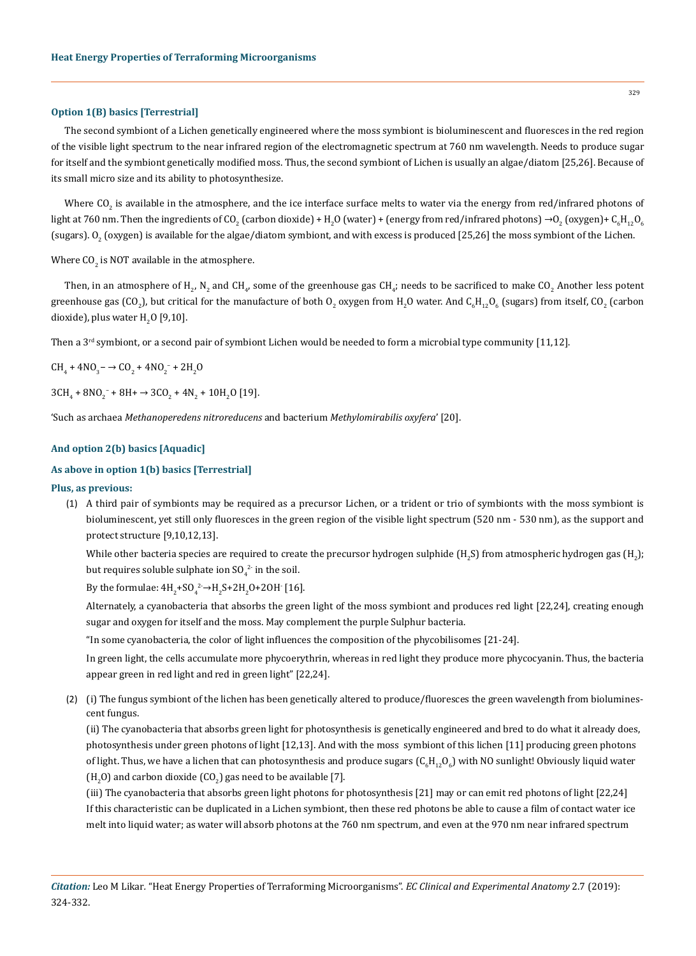#### **Option 1(B) basics [Terrestrial]**

The second symbiont of a Lichen genetically engineered where the moss symbiont is bioluminescent and fluoresces in the red region of the visible light spectrum to the near infrared region of the electromagnetic spectrum at 760 nm wavelength. Needs to produce sugar for itself and the symbiont genetically modified moss. Thus, the second symbiont of Lichen is usually an algae/diatom [25,26]. Because of its small micro size and its ability to photosynthesize.

Where CO<sub>2</sub> is available in the atmosphere, and the ice interface surface melts to water via the energy from red/infrared photons of light at 760 nm. Then the ingredients of CO<sub>2</sub> (carbon dioxide) + H<sub>2</sub>O (water) + (energy from red/infrared photons)  $\rightarrow$ O<sub>2</sub> (oxygen)+ C<sub>6</sub>H<sub>12</sub>O<sub>6</sub> (sugars).  $0_2$  (oxygen) is available for the algae/diatom symbiont, and with excess is produced [25,26] the moss symbiont of the Lichen.

Where  $\mathsf{CO}_2$  is NOT available in the atmosphere.

Then, in an atmosphere of H<sub>2</sub>, N<sub>2</sub> and CH<sub>4</sub>, some of the greenhouse gas CH<sub>4</sub>; needs to be sacrificed to make CO<sub>2</sub> Another less potent greenhouse gas (CO<sub>2</sub>), but critical for the manufacture of both O<sub>2</sub> oxygen from H<sub>2</sub>O water. And C<sub>6</sub>H<sub>12</sub>O<sub>6</sub> (sugars) from itself, CO<sub>2</sub> (carbon dioxide), plus water  $\text{H}_{\text{2}}\text{O}$  [9,10].

Then a  $3<sup>rd</sup>$  symbiont, or a second pair of symbiont Lichen would be needed to form a microbial type community [11,12].

$$
CH_4 + 4NO_3 - \rightarrow CO_2 + 4NO_2^- + 2H_2O
$$

 $3CH_4 + 8NO_2$ <sup>-</sup> + 8H+  $\rightarrow$  3CO<sub>2</sub> + 4N<sub>2</sub> + 10H<sub>2</sub>O [19].

'Such as archaea *Methanoperedens nitroreducens* and bacterium *Methylomirabilis oxyfera*' [20].

## **And option 2(b) basics [Aquadic]**

#### **As above in option 1(b) basics [Terrestrial]**

#### **Plus, as previous:**

(1) A third pair of symbionts may be required as a precursor Lichen, or a trident or trio of symbionts with the moss symbiont is bioluminescent, yet still only fluoresces in the green region of the visible light spectrum (520 nm - 530 nm), as the support and protect structure [9,10,12,13].

While other bacteria species are required to create the precursor hydrogen sulphide  $(\text{H}_2\text{S})$  from atmospheric hydrogen gas  $(\text{H}_2)$ ; but requires soluble sulphate ion  $\mathrm{SO}_4^{-2}$  in the soil.

By the formulae:  $4H_2+SO_4^2 \rightarrow H_2S+2H_2O+2OH$  [16].

Alternately, a cyanobacteria that absorbs the green light of the moss symbiont and produces red light [22,24], creating enough sugar and oxygen for itself and the moss. May complement the purple Sulphur bacteria.

"In some cyanobacteria, the color of light influences the composition of the phycobilisomes [21-24].

In green light, the cells accumulate more phycoerythrin, whereas in red light they produce more phycocyanin. Thus, the bacteria appear green in red light and red in green light" [22,24].

(2) (i) The fungus symbiont of the lichen has been genetically altered to produce/fluoresces the green wavelength from bioluminescent fungus.

(ii) The cyanobacteria that absorbs green light for photosynthesis is genetically engineered and bred to do what it already does, photosynthesis under green photons of light [12,13]. And with the moss symbiont of this lichen [11] producing green photons of light. Thus, we have a lichen that can photosynthesis and produce sugars  $({\rm C_6H}_{12}{\rm O_6})$  with NO sunlight! Obviously liquid water (H<sub>2</sub>O) and carbon dioxide (CO<sub>2</sub>) gas need to be available [7].

(iii) The cyanobacteria that absorbs green light photons for photosynthesis [21] may or can emit red photons of light [22,24] If this characteristic can be duplicated in a Lichen symbiont, then these red photons be able to cause a film of contact water ice melt into liquid water; as water will absorb photons at the 760 nm spectrum, and even at the 970 nm near infrared spectrum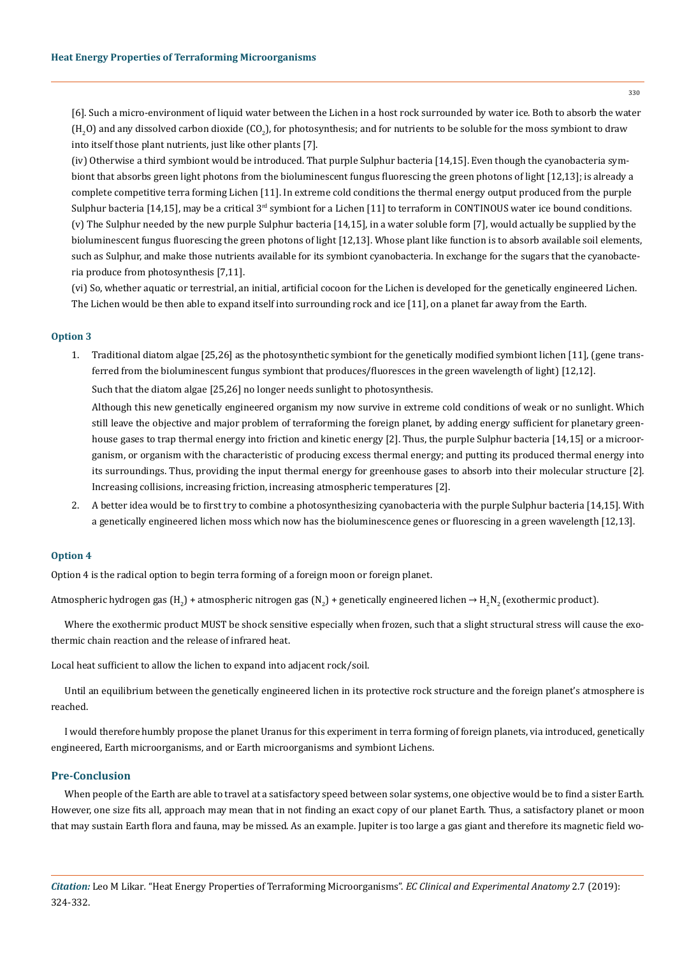[6]. Such a micro-environment of liquid water between the Lichen in a host rock surrounded by water ice. Both to absorb the water  $(\rm H_{2}O)$  and any dissolved carbon dioxide (CO<sub>2</sub>), for photosynthesis; and for nutrients to be soluble for the moss symbiont to draw into itself those plant nutrients, just like other plants [7].

(iv) Otherwise a third symbiont would be introduced. That purple Sulphur bacteria [14,15]. Even though the cyanobacteria symbiont that absorbs green light photons from the bioluminescent fungus fluorescing the green photons of light [12,13]; is already a complete competitive terra forming Lichen [11]. In extreme cold conditions the thermal energy output produced from the purple Sulphur bacteria [14,15], may be a critical  $3<sup>rd</sup>$  symbiont for a Lichen [11] to terraform in CONTINOUS water ice bound conditions. (v) The Sulphur needed by the new purple Sulphur bacteria [14,15], in a water soluble form [7], would actually be supplied by the bioluminescent fungus fluorescing the green photons of light [12,13]. Whose plant like function is to absorb available soil elements, such as Sulphur, and make those nutrients available for its symbiont cyanobacteria. In exchange for the sugars that the cyanobacteria produce from photosynthesis [7,11].

(vi) So, whether aquatic or terrestrial, an initial, artificial cocoon for the Lichen is developed for the genetically engineered Lichen. The Lichen would be then able to expand itself into surrounding rock and ice [11], on a planet far away from the Earth.

#### **Option 3**

1. Traditional diatom algae [25,26] as the photosynthetic symbiont for the genetically modified symbiont lichen [11], (gene transferred from the bioluminescent fungus symbiont that produces/fluoresces in the green wavelength of light) [12,12]. Such that the diatom algae [25,26] no longer needs sunlight to photosynthesis.

Although this new genetically engineered organism my now survive in extreme cold conditions of weak or no sunlight. Which still leave the objective and major problem of terraforming the foreign planet, by adding energy sufficient for planetary greenhouse gases to trap thermal energy into friction and kinetic energy [2]. Thus, the purple Sulphur bacteria [14,15] or a microorganism, or organism with the characteristic of producing excess thermal energy; and putting its produced thermal energy into its surroundings. Thus, providing the input thermal energy for greenhouse gases to absorb into their molecular structure [2]. Increasing collisions, increasing friction, increasing atmospheric temperatures [2].

2. A better idea would be to first try to combine a photosynthesizing cyanobacteria with the purple Sulphur bacteria [14,15]. With a genetically engineered lichen moss which now has the bioluminescence genes or fluorescing in a green wavelength [12,13].

#### **Option 4**

Option 4 is the radical option to begin terra forming of a foreign moon or foreign planet.

Atmospheric hydrogen gas (H<sub>2</sub>) + atmospheric nitrogen gas (N<sub>2</sub>) + genetically engineered lichen  $\to$  H<sub>2</sub>N<sub>2</sub> (exothermic product).

Where the exothermic product MUST be shock sensitive especially when frozen, such that a slight structural stress will cause the exothermic chain reaction and the release of infrared heat.

Local heat sufficient to allow the lichen to expand into adjacent rock/soil.

Until an equilibrium between the genetically engineered lichen in its protective rock structure and the foreign planet's atmosphere is reached.

I would therefore humbly propose the planet Uranus for this experiment in terra forming of foreign planets, via introduced, genetically engineered, Earth microorganisms, and or Earth microorganisms and symbiont Lichens.

## **Pre-Conclusion**

When people of the Earth are able to travel at a satisfactory speed between solar systems, one objective would be to find a sister Earth. However, one size fits all, approach may mean that in not finding an exact copy of our planet Earth. Thus, a satisfactory planet or moon that may sustain Earth flora and fauna, may be missed. As an example. Jupiter is too large a gas giant and therefore its magnetic field wo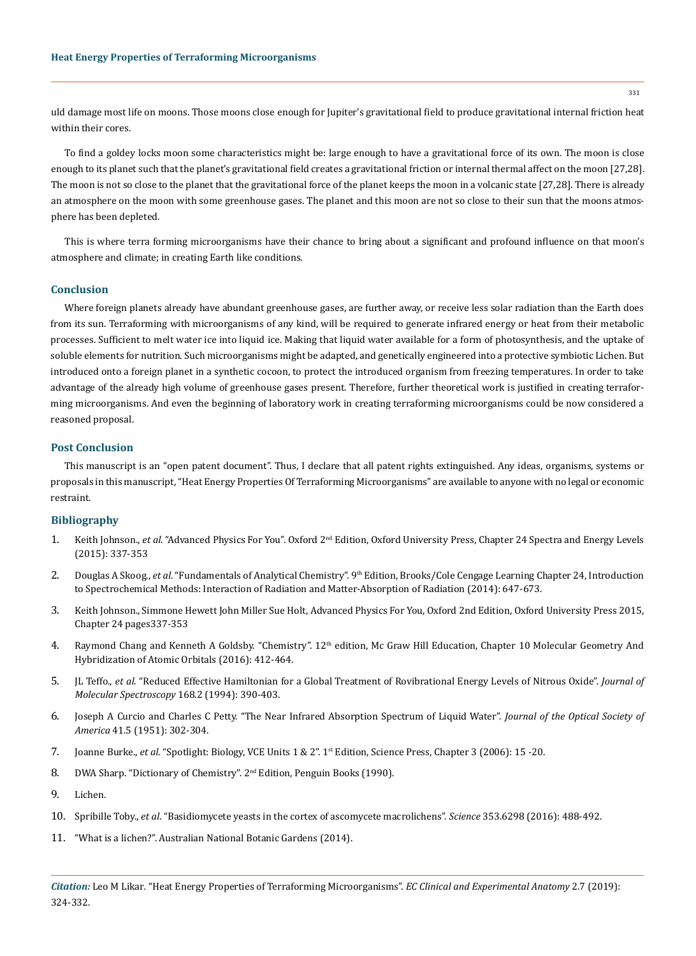uld damage most life on moons. Those moons close enough for Jupiter's gravitational field to produce gravitational internal friction heat within their cores.

To find a goldey locks moon some characteristics might be: large enough to have a gravitational force of its own. The moon is close enough to its planet such that the planet's gravitational field creates a gravitational friction or internal thermal affect on the moon [27,28]. The moon is not so close to the planet that the gravitational force of the planet keeps the moon in a volcanic state [27,28]. There is already an atmosphere on the moon with some greenhouse gases. The planet and this moon are not so close to their sun that the moons atmosphere has been depleted.

This is where terra forming microorganisms have their chance to bring about a significant and profound influence on that moon's atmosphere and climate; in creating Earth like conditions.

#### **Conclusion**

Where foreign planets already have abundant greenhouse gases, are further away, or receive less solar radiation than the Earth does from its sun. Terraforming with microorganisms of any kind, will be required to generate infrared energy or heat from their metabolic processes. Sufficient to melt water ice into liquid ice. Making that liquid water available for a form of photosynthesis, and the uptake of soluble elements for nutrition. Such microorganisms might be adapted, and genetically engineered into a protective symbiotic Lichen. But introduced onto a foreign planet in a synthetic cocoon, to protect the introduced organism from freezing temperatures. In order to take advantage of the already high volume of greenhouse gases present. Therefore, further theoretical work is justified in creating terraforming microorganisms. And even the beginning of laboratory work in creating terraforming microorganisms could be now considered a reasoned proposal.

## **Post Conclusion**

This manuscript is an "open patent document". Thus, I declare that all patent rights extinguished. Any ideas, organisms, systems or proposals in this manuscript, "Heat Energy Properties Of Terraforming Microorganisms" are available to anyone with no legal or economic restraint.

#### **Bibliography**

- 1. Keith Johnson., *et al*. "Advanced Physics For You". Oxford 2nd Edition, Oxford University Press, Chapter 24 Spectra and Energy Levels (2015): 337-353
- 2. Douglas A Skoog., *et al.* "Fundamentals of Analytical Chemistry". 9<sup>th</sup> Edition, Brooks/Cole Cengage Learning Chapter 24, Introduction to Spectrochemical Methods: Interaction of Radiation and Matter-Absorption of Radiation (2014): 647-673.
- 3. Keith Johnson., Simmone Hewett John Miller Sue Holt, Advanced Physics For You, Oxford 2nd Edition, Oxford University Press 2015, Chapter 24 pages337-353
- 4. Raymond Chang and Kenneth A Goldsby. "Chemistry". 12<sup>th</sup> edition, Mc Graw Hill Education, Chapter 10 Molecular Geometry And Hybridization of Atomic Orbitals (2016): 412-464.
- 5. JL Teffo., *et al*[. "Reduced Effective Hamiltonian for a Global Treatment of Rovibrational Energy Levels of Nitrous Oxide".](https://www.sciencedirect.com/science/article/abs/pii/S0022285284712884) *Journal of [Molecular Spectroscopy](https://www.sciencedirect.com/science/article/abs/pii/S0022285284712884)* 168.2 (1994): 390-403.
- 6. [Joseph A Curcio and Charles C Petty. "The Near Infrared Absorption Spectrum of Liquid Water".](https://www.osapublishing.org/josa/abstract.cfm?uri=josa-41-5-302) *Journal of the Optical Society of America* [41.5 \(1951\): 302-304.](https://www.osapublishing.org/josa/abstract.cfm?uri=josa-41-5-302)
- 7. Joanne Burke., *et al*. "Spotlight: Biology, VCE Units 1 & 2". 1st Edition, Science Press, Chapter 3 (2006): 15 -20.
- 8. DWA Sharp. "Dictionary of Chemistry". 2<sup>nd</sup> Edition, Penguin Books (1990).
- 9. [Lichen.](https://en.wikipedia.org/wiki/Lichen)
- 10. Spribille Toby., *et al*[. "Basidiomycete yeasts in the cortex of ascomycete macrolichens".](https://www.ncbi.nlm.nih.gov/pubmed/27445309) *Science* 353.6298 (2016): 488-492.
- 11. ["What is a lichen?". Australian National Botanic Gardens \(2014\).](https://www.anbg.gov.au/lichen/what-is-lichen.html)

*Citation:* Leo M Likar*.* "Heat Energy Properties of Terraforming Microorganisms". *EC Clinical and Experimental Anatomy* 2.7 (2019): 324-332.